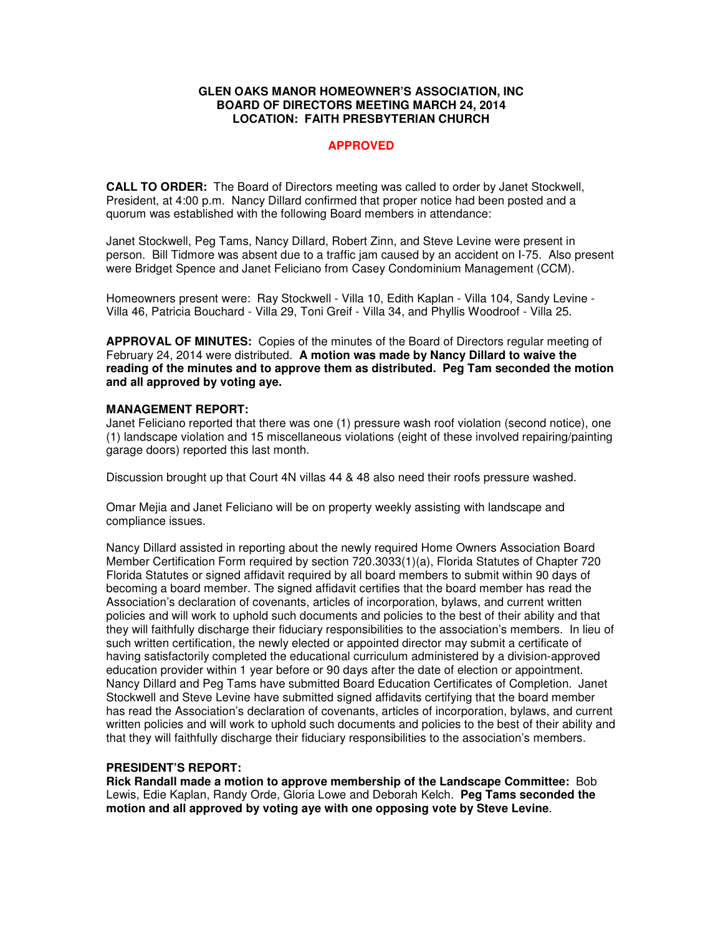### **GLEN OAKS MANOR HOMEOWNER'S ASSOCIATION, INC BOARD OF DIRECTORS MEETING MARCH 24, 2014 LOCATION: FAITH PRESBYTERIAN CHURCH**

# **APPROVED**

**CALL TO ORDER:** The Board of Directors meeting was called to order by Janet Stockwell, President, at 4:00 p.m. Nancy Dillard confirmed that proper notice had been posted and a quorum was established with the following Board members in attendance:

Janet Stockwell, Peg Tams, Nancy Dillard, Robert Zinn, and Steve Levine were present in person. Bill Tidmore was absent due to a traffic jam caused by an accident on I-75. Also present were Bridget Spence and Janet Feliciano from Casey Condominium Management (CCM).

Homeowners present were: Ray Stockwell - Villa 10, Edith Kaplan - Villa 104, Sandy Levine - Villa 46, Patricia Bouchard - Villa 29, Toni Greif - Villa 34, and Phyllis Woodroof - Villa 25.

**APPROVAL OF MINUTES:** Copies of the minutes of the Board of Directors regular meeting of February 24, 2014 were distributed. **A motion was made by Nancy Dillard to waive the reading of the minutes and to approve them as distributed. Peg Tam seconded the motion and all approved by voting aye.** 

### **MANAGEMENT REPORT:**

Janet Feliciano reported that there was one (1) pressure wash roof violation (second notice), one (1) landscape violation and 15 miscellaneous violations (eight of these involved repairing/painting garage doors) reported this last month.

Discussion brought up that Court 4N villas 44 & 48 also need their roofs pressure washed.

Omar Mejia and Janet Feliciano will be on property weekly assisting with landscape and compliance issues.

Nancy Dillard assisted in reporting about the newly required Home Owners Association Board Member Certification Form required by section 720.3033(1)(a), Florida Statutes of Chapter 720 Florida Statutes or signed affidavit required by all board members to submit within 90 days of becoming a board member. The signed affidavit certifies that the board member has read the Association's declaration of covenants, articles of incorporation, bylaws, and current written policies and will work to uphold such documents and policies to the best of their ability and that they will faithfully discharge their fiduciary responsibilities to the association's members.In lieu of such written certification, the newly elected or appointed director may submit a certificate of having satisfactorily completed the educational curriculum administered by a division-approved education provider within 1 year before or 90 days after the date of election or appointment. Nancy Dillard and Peg Tams have submitted Board Education Certificates of Completion. Janet Stockwell and Steve Levine have submitted signed affidavits certifying that the board member has read the Association's declaration of covenants, articles of incorporation, bylaws, and current written policies and will work to uphold such documents and policies to the best of their ability and that they will faithfully discharge their fiduciary responsibilities to the association's members.

# **PRESIDENT'S REPORT:**

**Rick Randall made a motion to approve membership of the Landscape Committee:** Bob Lewis, Edie Kaplan, Randy Orde, Gloria Lowe and Deborah Kelch. **Peg Tams seconded the motion and all approved by voting aye with one opposing vote by Steve Levine**.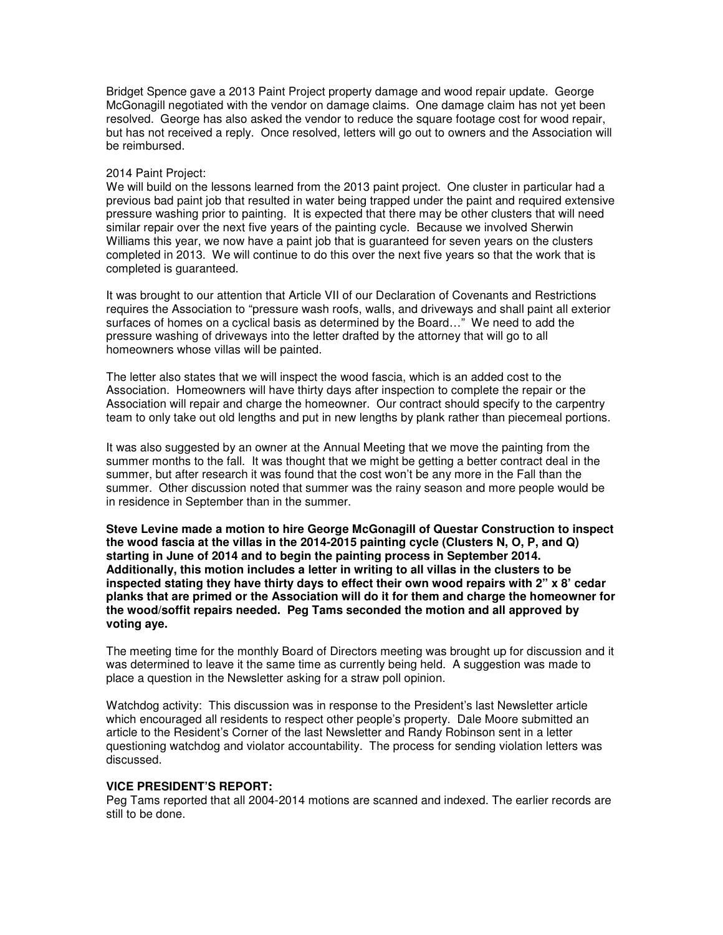Bridget Spence gave a 2013 Paint Project property damage and wood repair update. George McGonagill negotiated with the vendor on damage claims. One damage claim has not yet been resolved. George has also asked the vendor to reduce the square footage cost for wood repair, but has not received a reply. Once resolved, letters will go out to owners and the Association will be reimbursed.

#### 2014 Paint Project:

We will build on the lessons learned from the 2013 paint project. One cluster in particular had a previous bad paint job that resulted in water being trapped under the paint and required extensive pressure washing prior to painting. It is expected that there may be other clusters that will need similar repair over the next five years of the painting cycle. Because we involved Sherwin Williams this year, we now have a paint job that is guaranteed for seven years on the clusters completed in 2013. We will continue to do this over the next five years so that the work that is completed is guaranteed.

It was brought to our attention that Article VII of our Declaration of Covenants and Restrictions requires the Association to "pressure wash roofs, walls, and driveways and shall paint all exterior surfaces of homes on a cyclical basis as determined by the Board…" We need to add the pressure washing of driveways into the letter drafted by the attorney that will go to all homeowners whose villas will be painted.

The letter also states that we will inspect the wood fascia, which is an added cost to the Association. Homeowners will have thirty days after inspection to complete the repair or the Association will repair and charge the homeowner. Our contract should specify to the carpentry team to only take out old lengths and put in new lengths by plank rather than piecemeal portions.

It was also suggested by an owner at the Annual Meeting that we move the painting from the summer months to the fall. It was thought that we might be getting a better contract deal in the summer, but after research it was found that the cost won't be any more in the Fall than the summer. Other discussion noted that summer was the rainy season and more people would be in residence in September than in the summer.

**Steve Levine made a motion to hire George McGonagill of Questar Construction to inspect the wood fascia at the villas in the 2014-2015 painting cycle (Clusters N, O, P, and Q) starting in June of 2014 and to begin the painting process in September 2014. Additionally, this motion includes a letter in writing to all villas in the clusters to be inspected stating they have thirty days to effect their own wood repairs with 2" x 8' cedar planks that are primed or the Association will do it for them and charge the homeowner for the wood/soffit repairs needed. Peg Tams seconded the motion and all approved by voting aye.** 

The meeting time for the monthly Board of Directors meeting was brought up for discussion and it was determined to leave it the same time as currently being held. A suggestion was made to place a question in the Newsletter asking for a straw poll opinion.

Watchdog activity: This discussion was in response to the President's last Newsletter article which encouraged all residents to respect other people's property. Dale Moore submitted an article to the Resident's Corner of the last Newsletter and Randy Robinson sent in a letter questioning watchdog and violator accountability. The process for sending violation letters was discussed.

#### **VICE PRESIDENT'S REPORT:**

Peg Tams reported that all 2004-2014 motions are scanned and indexed. The earlier records are still to be done.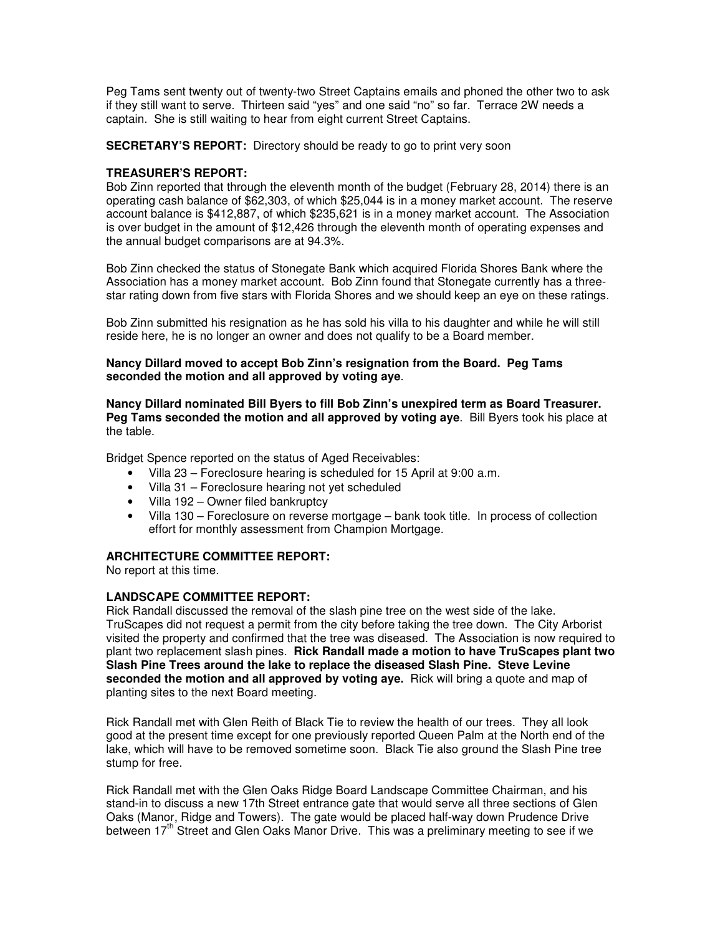Peg Tams sent twenty out of twenty-two Street Captains emails and phoned the other two to ask if they still want to serve. Thirteen said "yes" and one said "no" so far. Terrace 2W needs a captain. She is still waiting to hear from eight current Street Captains.

**SECRETARY'S REPORT:** Directory should be ready to go to print very soon

## **TREASURER'S REPORT:**

Bob Zinn reported that through the eleventh month of the budget (February 28, 2014) there is an operating cash balance of \$62,303, of which \$25,044 is in a money market account. The reserve account balance is \$412,887, of which \$235,621 is in a money market account. The Association is over budget in the amount of \$12,426 through the eleventh month of operating expenses and the annual budget comparisons are at 94.3%.

Bob Zinn checked the status of Stonegate Bank which acquired Florida Shores Bank where the Association has a money market account. Bob Zinn found that Stonegate currently has a threestar rating down from five stars with Florida Shores and we should keep an eye on these ratings.

Bob Zinn submitted his resignation as he has sold his villa to his daughter and while he will still reside here, he is no longer an owner and does not qualify to be a Board member.

### **Nancy Dillard moved to accept Bob Zinn's resignation from the Board. Peg Tams seconded the motion and all approved by voting aye**.

**Nancy Dillard nominated Bill Byers to fill Bob Zinn's unexpired term as Board Treasurer. Peg Tams seconded the motion and all approved by voting aye**. Bill Byers took his place at the table.

Bridget Spence reported on the status of Aged Receivables:

- Villa 23 Foreclosure hearing is scheduled for 15 April at 9:00 a.m.
- Villa 31 Foreclosure hearing not yet scheduled
- Villa 192 Owner filed bankruptcy
- Villa 130 Foreclosure on reverse mortgage bank took title. In process of collection effort for monthly assessment from Champion Mortgage.

### **ARCHITECTURE COMMITTEE REPORT:**

No report at this time.

### **LANDSCAPE COMMITTEE REPORT:**

Rick Randall discussed the removal of the slash pine tree on the west side of the lake. TruScapes did not request a permit from the city before taking the tree down. The City Arborist visited the property and confirmed that the tree was diseased. The Association is now required to plant two replacement slash pines. **Rick Randall made a motion to have TruScapes plant two Slash Pine Trees around the lake to replace the diseased Slash Pine. Steve Levine seconded the motion and all approved by voting aye.** Rick will bring a quote and map of planting sites to the next Board meeting.

Rick Randall met with Glen Reith of Black Tie to review the health of our trees. They all look good at the present time except for one previously reported Queen Palm at the North end of the lake, which will have to be removed sometime soon. Black Tie also ground the Slash Pine tree stump for free.

Rick Randall met with the Glen Oaks Ridge Board Landscape Committee Chairman, and his stand-in to discuss a new 17th Street entrance gate that would serve all three sections of Glen Oaks (Manor, Ridge and Towers). The gate would be placed half-way down Prudence Drive between 17<sup>th</sup> Street and Glen Oaks Manor Drive. This was a preliminary meeting to see if we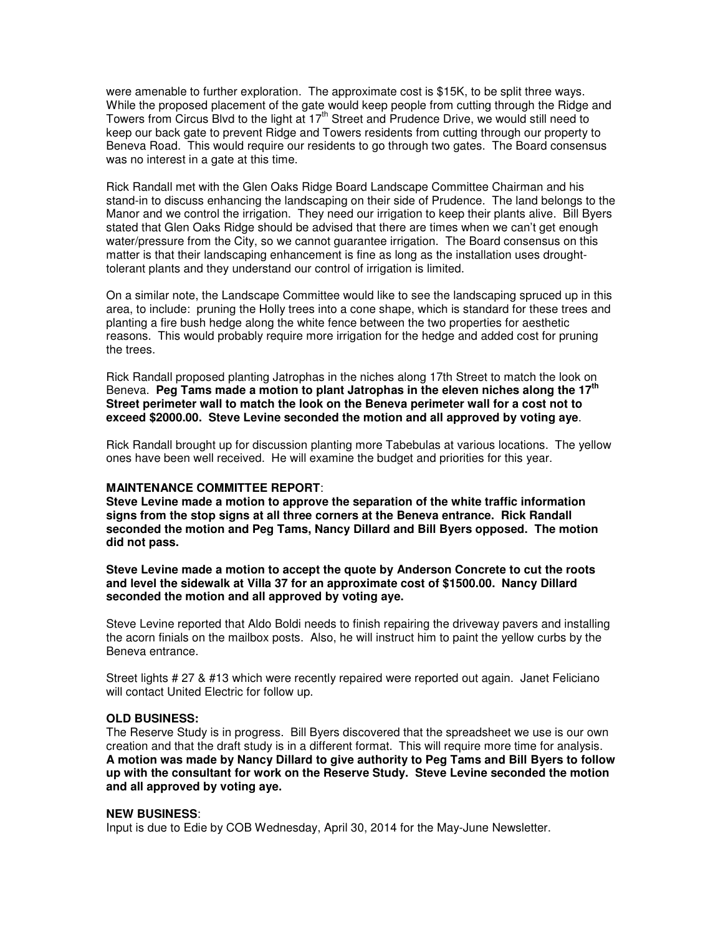were amenable to further exploration. The approximate cost is \$15K, to be split three ways. While the proposed placement of the gate would keep people from cutting through the Ridge and Towers from Circus Blvd to the light at 17th Street and Prudence Drive, we would still need to keep our back gate to prevent Ridge and Towers residents from cutting through our property to Beneva Road. This would require our residents to go through two gates. The Board consensus was no interest in a gate at this time.

Rick Randall met with the Glen Oaks Ridge Board Landscape Committee Chairman and his stand-in to discuss enhancing the landscaping on their side of Prudence. The land belongs to the Manor and we control the irrigation. They need our irrigation to keep their plants alive. Bill Byers stated that Glen Oaks Ridge should be advised that there are times when we can't get enough water/pressure from the City, so we cannot guarantee irrigation. The Board consensus on this matter is that their landscaping enhancement is fine as long as the installation uses droughttolerant plants and they understand our control of irrigation is limited.

On a similar note, the Landscape Committee would like to see the landscaping spruced up in this area, to include: pruning the Holly trees into a cone shape, which is standard for these trees and planting a fire bush hedge along the white fence between the two properties for aesthetic reasons. This would probably require more irrigation for the hedge and added cost for pruning the trees.

Rick Randall proposed planting Jatrophas in the niches along 17th Street to match the look on Beneva. **Peg Tams made a motion to plant Jatrophas in the eleven niches along the 17th Street perimeter wall to match the look on the Beneva perimeter wall for a cost not to exceed \$2000.00. Steve Levine seconded the motion and all approved by voting aye**.

Rick Randall brought up for discussion planting more Tabebulas at various locations. The yellow ones have been well received. He will examine the budget and priorities for this year.

#### **MAINTENANCE COMMITTEE REPORT**:

**Steve Levine made a motion to approve the separation of the white traffic information signs from the stop signs at all three corners at the Beneva entrance. Rick Randall seconded the motion and Peg Tams, Nancy Dillard and Bill Byers opposed. The motion did not pass.**

**Steve Levine made a motion to accept the quote by Anderson Concrete to cut the roots and level the sidewalk at Villa 37 for an approximate cost of \$1500.00. Nancy Dillard seconded the motion and all approved by voting aye.** 

Steve Levine reported that Aldo Boldi needs to finish repairing the driveway pavers and installing the acorn finials on the mailbox posts. Also, he will instruct him to paint the yellow curbs by the Beneva entrance.

Street lights # 27 & #13 which were recently repaired were reported out again. Janet Feliciano will contact United Electric for follow up.

#### **OLD BUSINESS:**

The Reserve Study is in progress. Bill Byers discovered that the spreadsheet we use is our own creation and that the draft study is in a different format. This will require more time for analysis. **A motion was made by Nancy Dillard to give authority to Peg Tams and Bill Byers to follow up with the consultant for work on the Reserve Study. Steve Levine seconded the motion and all approved by voting aye.** 

#### **NEW BUSINESS**:

Input is due to Edie by COB Wednesday, April 30, 2014 for the May-June Newsletter.